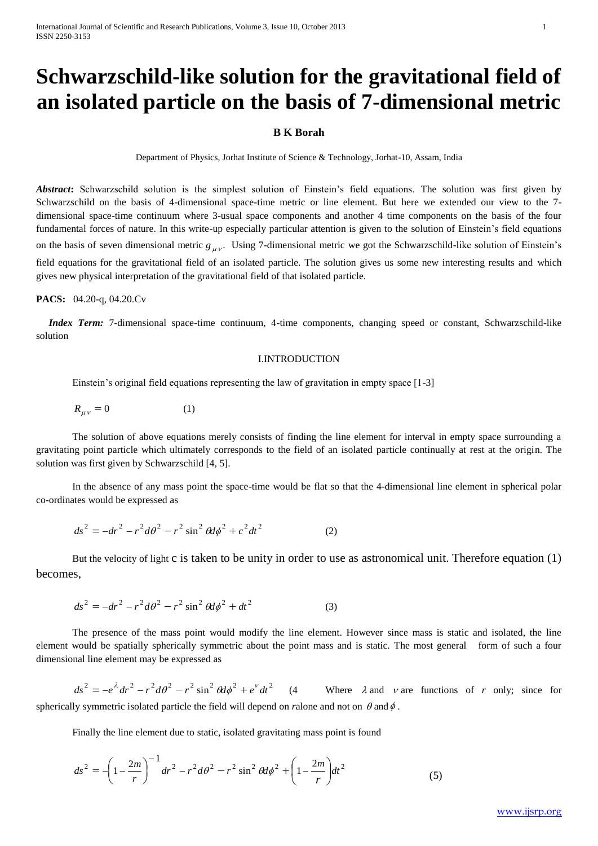# **Schwarzschild-like solution for the gravitational field of an isolated particle on the basis of 7-dimensional metric**

# **B K Borah**

Department of Physics, Jorhat Institute of Science & Technology, Jorhat-10, Assam, India

*Abstract***:** Schwarzschild solution is the simplest solution of Einstein's field equations. The solution was first given by Schwarzschild on the basis of 4-dimensional space-time metric or line element. But here we extended our view to the 7 dimensional space-time continuum where 3-usual space components and another 4 time components on the basis of the four fundamental forces of nature. In this write-up especially particular attention is given to the solution of Einstein's field equations on the basis of seven dimensional metric  $g_{\mu\nu}$ . Using 7-dimensional metric we got the Schwarzschild-like solution of Einstein's field equations for the gravitational field of an isolated particle. The solution gives us some new interesting results and which gives new physical interpretation of the gravitational field of that isolated particle.

#### **PACS:** 04.20-q, 04.20.Cv

 *Index Term:* 7-dimensional space-time continuum, 4-time components, changing speed or constant, Schwarzschild-like solution

## I.INTRODUCTION

Einstein's original field equations representing the law of gravitation in empty space [1-3]

$$
R_{\mu\nu} = 0 \tag{1}
$$

The solution of above equations merely consists of finding the line element for interval in empty space surrounding a gravitating point particle which ultimately corresponds to the field of an isolated particle continually at rest at the origin. The solution was first given by Schwarzschild [4, 5].

In the absence of any mass point the space-time would be flat so that the 4-dimensional line element in spherical polar co-ordinates would be expressed as

$$
ds^{2} = -dr^{2} - r^{2}d\theta^{2} - r^{2}\sin^{2}\theta d\phi^{2} + c^{2}dt^{2}
$$
 (2)

But the velocity of light c is taken to be unity in order to use as astronomical unit. Therefore equation (1) becomes,

$$
ds^{2} = -dr^{2} - r^{2}d\theta^{2} - r^{2}\sin^{2}\theta d\phi^{2} + dt^{2}
$$
 (3)

The presence of the mass point would modify the line element. However since mass is static and isolated, the line element would be spatially spherically symmetric about the point mass and is static. The most general form of such a four dimensional line element may be expressed as

 $ds^{2} = -e^{\lambda} dr^{2} - r^{2} d\theta^{2} - r^{2} \sin^{2} \theta d\phi^{2} + e^{v} dt^{2}$ (4 Where  $\lambda$  and  $\nu$  are functions of *r* only; since for spherically symmetric isolated particle the field will depend on *r*alone and not on  $\theta$  and  $\phi$ .

Finally the line element due to static, isolated gravitating mass point is found

$$
ds^{2} = -\left(1 - \frac{2m}{r}\right)^{-1} dr^{2} - r^{2} d\theta^{2} - r^{2} \sin^{2} \theta d\phi^{2} + \left(1 - \frac{2m}{r}\right) dt^{2}
$$
(5)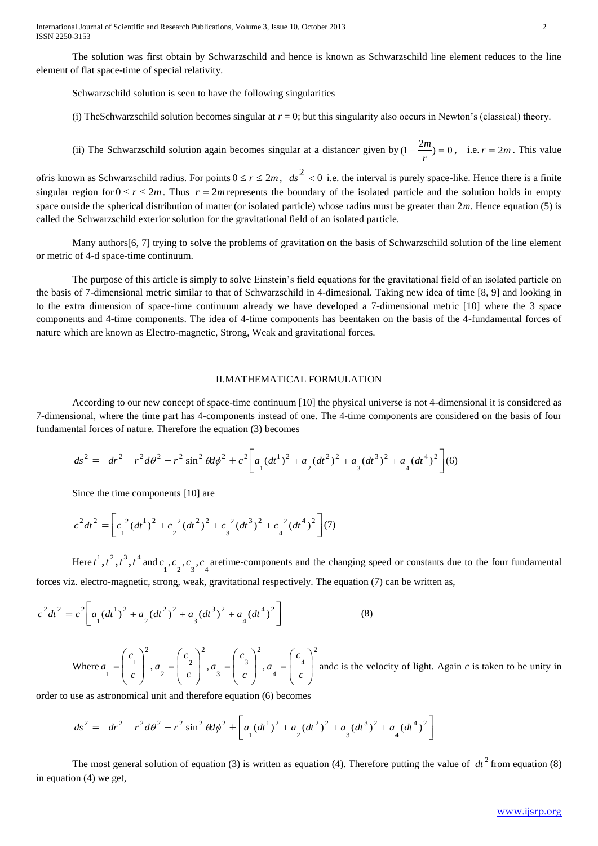International Journal of Scientific and Research Publications, Volume 3, Issue 10, October 2013 2 ISSN 2250-3153

The solution was first obtain by Schwarzschild and hence is known as Schwarzschild line element reduces to the line element of flat space-time of special relativity.

Schwarzschild solution is seen to have the following singularities

(i) TheSchwarzschild solution becomes singular at  $r = 0$ ; but this singularity also occurs in Newton's (classical) theory.

(ii) The Schwarzschild solution again becomes singular at a distancer given by  $(1 - \frac{2m}{n}) = 0$ *r*  $\binom{m}{r}$  = 0, i.e.  $r = 2m$ . This value

of*r* is known as Schwarzschild radius. For points  $0 \le r \le 2m$ ,  $ds^2 < 0$  i.e. the interval is purely space-like. Hence there is a finite singular region for  $0 \le r \le 2m$ . Thus  $r = 2m$  represents the boundary of the isolated particle and the solution holds in empty space outside the spherical distribution of matter (or isolated particle) whose radius must be greater than 2*m*. Hence equation (5) is called the Schwarzschild exterior solution for the gravitational field of an isolated particle.

Many authors [6, 7] trying to solve the problems of gravitation on the basis of Schwarzschild solution of the line element or metric of 4-d space-time continuum.

The purpose of this article is simply to solve Einstein's field equations for the gravitational field of an isolated particle on the basis of 7-dimensional metric similar to that of Schwarzschild in 4-dimesional. Taking new idea of time [8, 9] and looking in to the extra dimension of space-time continuum already we have developed a 7-dimensional metric [10] where the 3 space components and 4-time components. The idea of 4-time components has beentaken on the basis of the 4-fundamental forces of nature which are known as Electro-magnetic, Strong, Weak and gravitational forces.

#### II.MATHEMATICAL FORMULATION

According to our new concept of space-time continuum [10] the physical universe is not 4-dimensional it is considered as 7-dimensional, where the time part has 4-components instead of one. The 4-time components are considered on the basis of four fundamental forces of nature. Therefore the equation (3) becomes

$$
ds^{2} = -dr^{2} - r^{2}d\theta^{2} - r^{2}\sin^{2}\theta d\phi^{2} + c^{2}\left[a_{1}(dt^{1})^{2} + a_{2}(dt^{2})^{2} + a_{3}(dt^{3})^{2} + a_{4}(dt^{4})^{2}\right](6)
$$

Since the time components [10] are

$$
c^{2}dt^{2} = \left[c_{1}^{2}(dt^{1})^{2} + c_{2}^{2}(dt^{2})^{2} + c_{3}^{2}(dt^{3})^{2} + c_{4}^{2}(dt^{4})^{2}\right](7)
$$

Here  $t^1$ ,  $t^2$ ,  $t^3$ ,  $t^4$  and  $c_1$ ,  $c_2$ ,  $c_3$ ,  $c_4$  aretime-components and the changing speed or constants due to the four fundamental forces viz. electro-magnetic, strong, weak, gravitational respectively. The equation (7) can be written as,

$$
c^{2}dt^{2} = c^{2} \left[ a_{1} (dt^{1})^{2} + a_{2} (dt^{2})^{2} + a_{3} (dt^{3})^{2} + a_{4} (dt^{4})^{2} \right]
$$
 (8)

Where 2  $\begin{pmatrix} 1 \\ 1 \end{pmatrix}$  $\overline{\phantom{a}}$ J  $\backslash$  $\overline{\phantom{a}}$  $\mathsf{I}$  $\setminus$ ſ  $=$ *c c*  $a = \left| \begin{array}{c} 1 \\ -1 \end{array} \right|$ , 2  $\frac{2}{2}$  =  $\frac{2}{c}$  $\overline{\phantom{a}}$ J  $\setminus$  $\overline{\phantom{a}}$  $\mathsf{I}$  $\setminus$ ſ  $=$ *c c*  $a = \frac{2}{3}$ , 2  $\frac{3}{3}$  =  $\left| \frac{3}{c} \right|$  $\overline{\phantom{a}}$ J  $\setminus$  $\overline{\phantom{a}}$  $\mathsf{I}$  $\setminus$ ſ  $=$ *c c*  $a = \frac{3}{2}$ , 2  $\frac{4}{4}$  =  $\frac{4}{c}$  $\overline{\phantom{a}}$ J  $\setminus$  $\mathsf{I}$  $\mathsf{I}$  $\setminus$ ſ  $=$ *c c*  $a = \frac{4}{3}$  and*c* is the velocity of light. Again *c* is taken to be unity in

order to use as astronomical unit and therefore equation (6) becomes

$$
ds^{2} = -dr^{2} - r^{2}d\theta^{2} - r^{2}\sin^{2}\theta d\phi^{2} + \left[a_{1}(dt^{1})^{2} + a_{2}(dt^{2})^{2} + a_{3}(dt^{3})^{2} + a_{4}(dt^{4})^{2}\right]
$$

The most general solution of equation (3) is written as equation (4). Therefore putting the value of  $dt^2$  from equation (8) in equation (4) we get,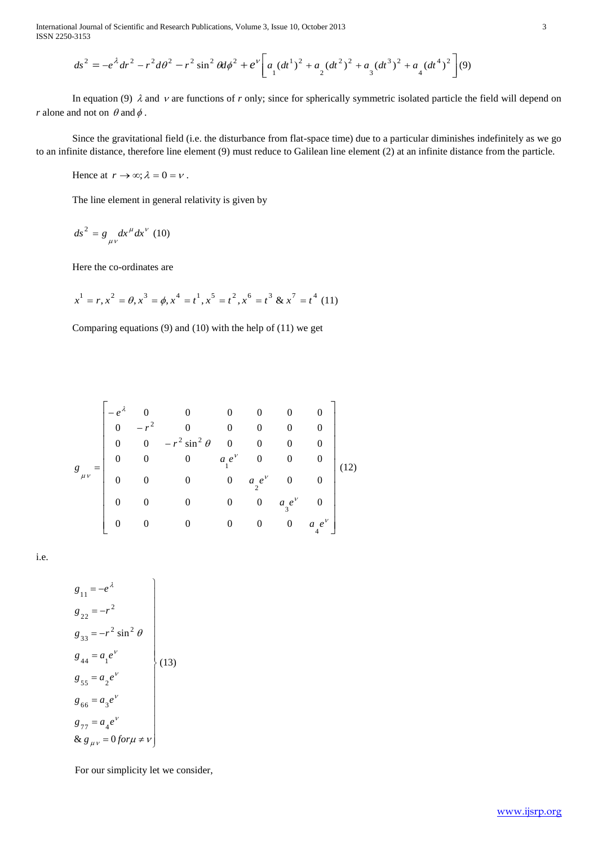International Journal of Scientific and Research Publications, Volume 3, Issue 10, October 2013 3 ISSN 2250-3153

$$
ds^{2} = -e^{\lambda} dr^{2} - r^{2} d\theta^{2} - r^{2} \sin^{2} \theta d\phi^{2} + e^{\nu} \left[ a_{1} (dt^{1})^{2} + a_{2} (dt^{2})^{2} + a_{3} (dt^{3})^{2} + a_{4} (dt^{4})^{2} \right] (9)
$$

(v)<br>cle the field will depend on<br>ishes indefinitely as we go<br>distance from the particle. In equation (9)  $\lambda$  and  $\nu$  are functions of r only; since for spherically symmetric isolated particle the field will depend on *r* alone and not on  $\theta$  and  $\phi$ .

Since the gravitational field (i.e. the disturbance from flat-space time) due to a particular diminishes indefinitely as we go to an infinite distance, therefore line element (9) must reduce to Galilean line element (2) at an infinite distance from the particle.

Hence at  $r \to \infty$ ;  $\lambda = 0 = v$ .

The line element in general relativity is given by

 $\mu$   $\mu$ .  $ds^2 = g \frac{dx^{\mu}}{dt^{\nu}} dx^{\nu}$  (10)

Here the co-ordinates are

$$
x^{1} = r, x^{2} = \theta, x^{3} = \phi, x^{4} = t^{1}, x^{5} = t^{2}, x^{6} = t^{3} \& x^{7} = t^{4}
$$
(11)

Comparing equations (9) and (10) with the help of (11) we get

$$
g_{\mu\nu} = \begin{bmatrix}\n-e^{\lambda} & 0 & 0 & 0 & 0 & 0 & 0 \\
0 & -r^2 & 0 & 0 & 0 & 0 & 0 \\
0 & 0 & -r^2 \sin^2 \theta & 0 & 0 & 0 & 0 \\
0 & 0 & 0 & a_e e^{\nu} & 0 & 0 & 0 \\
0 & 0 & 0 & 0 & a_e e^{\nu} & 0 & 0 \\
0 & 0 & 0 & 0 & 0 & a_g e^{\nu} & 0 \\
0 & 0 & 0 & 0 & 0 & 0 & a_e e^{\nu}\n\end{bmatrix}
$$
\n(12)

i.e.

$$
g_{11} = -e^{\lambda}
$$
  
\n
$$
g_{22} = -r^{2}
$$
  
\n
$$
g_{33} = -r^{2} \sin^{2} \theta
$$
  
\n
$$
g_{44} = a_{1}e^{v}
$$
  
\n
$$
g_{55} = a_{2}e^{v}
$$
  
\n
$$
g_{66} = a_{3}e^{v}
$$
  
\n
$$
g_{77} = a_{4}e^{v}
$$
  
\n
$$
g_{8\mu\nu} = 0 \text{ for } \mu \neq \nu
$$

For our simplicity let we consider,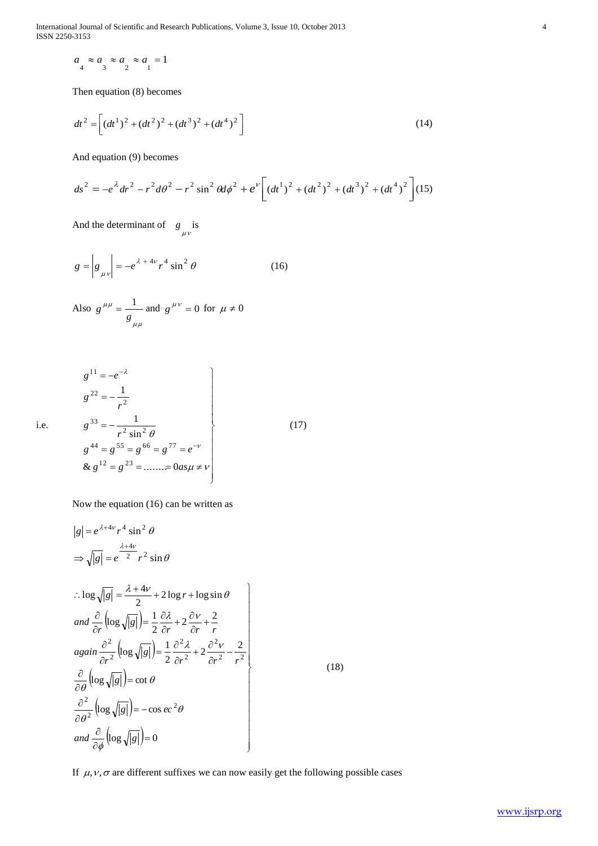International Journal of Scientific and Research Publications, Volume 3, Issue 10, October 2013 4 ISSN 2250-3153

 $a_4 \approx a_3 \approx a_2 \approx a_1$ 

Then equation (8) becomes

$$
dt^{2} = \left[ (dt^{1})^{2} + (dt^{2})^{2} + (dt^{3})^{2} + (dt^{4})^{2} \right]
$$
 (14)

And equation (9) becomes

$$
ds^{2} = -e^{\lambda} dr^{2} - r^{2} d\theta^{2} - r^{2} \sin^{2} \theta d\phi^{2} + e^{\nu} \left[ \left( dt^{1} \right)^{2} + \left( dt^{2} \right)^{2} + \left( dt^{3} \right)^{2} + \left( dt^{4} \right)^{2} \right] (15)
$$

(17)

(18)

And the determinant of  $g_{\mu\nu}$  is

$$
g = \left| g_{\mu\nu} \right| = -e^{\lambda + 4\nu} r^4 \sin^2 \theta \tag{16}
$$

Also 
$$
g^{\mu\mu} = \frac{1}{g_{\mu\mu}}
$$
 and  $g^{\mu\nu} = 0$  for  $\mu \neq 0$ 

$$
g^{11} = -e^{-\lambda}
$$
  
\n
$$
g^{22} = -\frac{1}{r^2}
$$
  
\n
$$
g^{33} = -\frac{1}{r^2 \sin^2 \theta}
$$
  
\n
$$
g^{44} = g^{55} = g^{66} = g^{77} = e^{-\nu}
$$
  
\n& 
$$
g^{12} = g^{23} = \dots = 0
$$
  
\n
$$
a \neq \nu
$$

Now the equation (16) can be written as

$$
a_{a} \approx a_{3} \approx a_{2} \approx a_{1} = 1
$$
  
\nThen equation (8) becomes  
\n
$$
dt^{2} = \left[ (at^{1})^{2} + (at^{2})^{2} + (at^{3})^{2} + (at^{4})^{2} \right]
$$
\n
$$
= -a^{2}at^{2} - r^{2}ad\theta^{2} - r^{2}sin^{2} ad\phi^{2} + e^{v} \left[ (at^{1})^{2} + (at^{2})^{2} + (at^{2})^{2} + (at^{4})^{2} \right] (15)
$$
\nAnd the determinant of 
$$
R_{\mu\nu} is
$$
\n
$$
g = \left| g_{\mu\nu} \right| = -e^{A + 4\nu}r^{4} sin^{2}\theta
$$
\n(16)  
\nAlso  $g^{\mu\mu} = \frac{1}{g_{\mu\mu}}$  and  $g^{\mu\nu} = 0$  for  $\mu \neq 0$   
\n
$$
g^{\mu 1} = -e^{-4}
$$
\n
$$
g^{\mu 2} = -\frac{1}{r^{2}}
$$
\n
$$
g^{\mu 2} = -\frac{1}{r^{2}} sin^{2}\theta
$$
\n
$$
g^{\mu 1} = g^{\mu 2} - \frac{1}{r^{2}} sin^{2}\theta
$$
\n(17)  
\n
$$
g^{\mu 1} = g^{\mu 2} - \frac{1}{r^{2}} sin^{2}\theta
$$
\n
$$
g^{\mu 1} = g^{\mu 2} - \frac{1}{r^{2}} sin \theta
$$
\n(18)  
\nNow the equation (16) can be written as  
\n
$$
|g| = e^{A + 4\nu}r^{4} sin^{2}\theta
$$
\n
$$
\Rightarrow \sqrt{|g|} = e^{2\mu^{2} + \nu^{2}} sin\theta
$$
\n
$$
sin\left(\frac{2}{\rho} \left[ (g_{g}\sqrt{|g|}) \right] - \frac{1}{2} \frac{\partial A}{\partial r} + \frac{2}{\rho r} \frac{\partial^2}{\partial r^2} + \frac{2}{r^{2}}
$$
\n
$$
again \frac{\partial}{\partial r^{2}} \left[ log \sqrt{|g|} \right] - \frac{1}{2} \frac{\partial A}{\partial r} + 2 \frac
$$

If  $\mu$ ,  $\nu$ ,  $\sigma$  are different suffixes we can now easily get the following possible cases

i.e.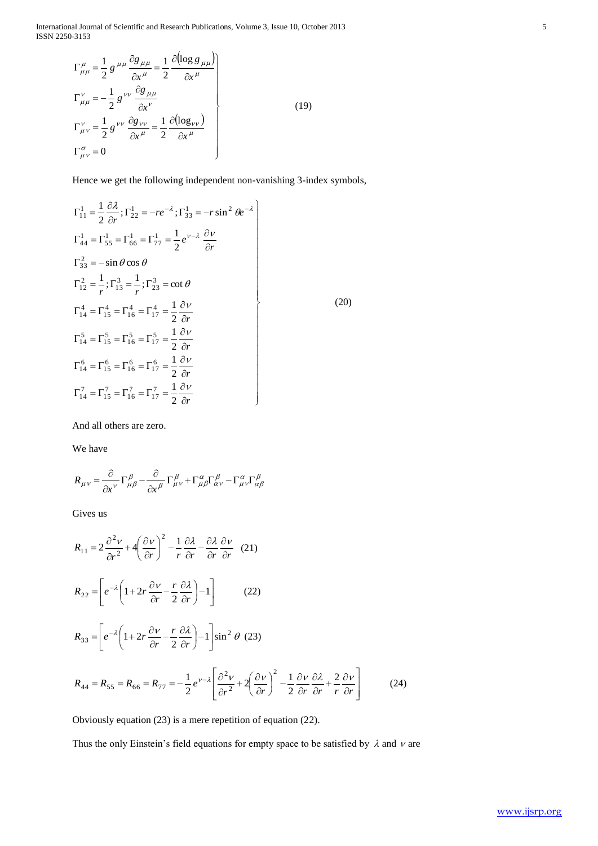International Journal of Scientific and Research Publications, Volume 3, Issue 10, October 2013 5 ISSN 2250-3153

$$
\Gamma^{\mu}_{\mu\mu} = \frac{1}{2} g^{\mu\mu} \frac{\partial g_{\mu\mu}}{\partial x^{\mu}} = \frac{1}{2} \frac{\partial (\log g_{\mu\mu})}{\partial x^{\mu}}
$$
\n
$$
\Gamma^{\nu}_{\mu\mu} = -\frac{1}{2} g^{\nu\nu} \frac{\partial g_{\mu\mu}}{\partial x^{\nu}}
$$
\n
$$
\Gamma^{\nu}_{\mu\nu} = \frac{1}{2} g^{\nu\nu} \frac{\partial g_{\nu\nu}}{\partial x^{\mu}} = \frac{1}{2} \frac{\partial (\log_{\nu\nu})}{\partial x^{\mu}}
$$
\n
$$
\Gamma^{\sigma}_{\mu\nu} = 0
$$
\n(19)

Hence we get the following independent non-vanishing 3-index symbols,

$$
\Gamma_{11}^{1} = \frac{1}{2} \frac{\partial \lambda}{\partial r}; \Gamma_{22}^{1} = -re^{-\lambda}; \Gamma_{33}^{1} = -r \sin^{2} \theta e^{-\lambda}
$$
\n
$$
\Gamma_{44}^{1} = \Gamma_{55}^{1} = \Gamma_{66}^{1} = \Gamma_{77}^{1} = \frac{1}{2} e^{\nu - \lambda} \frac{\partial \nu}{\partial r}
$$
\n
$$
\Gamma_{33}^{2} = -\sin \theta \cos \theta
$$
\n
$$
\Gamma_{12}^{2} = \frac{1}{r}; \Gamma_{13}^{3} = \frac{1}{r}; \Gamma_{23}^{3} = \cot \theta
$$
\n
$$
\Gamma_{14}^{4} = \Gamma_{15}^{4} = \Gamma_{16}^{4} = \Gamma_{17}^{4} = \frac{1}{2} \frac{\partial \nu}{\partial r}
$$
\n
$$
\Gamma_{14}^{5} = \Gamma_{15}^{5} = \Gamma_{16}^{5} = \Gamma_{17}^{5} = \frac{1}{2} \frac{\partial \nu}{\partial r}
$$
\n
$$
\Gamma_{14}^{6} = \Gamma_{15}^{6} = \Gamma_{16}^{6} = \Gamma_{17}^{6} = \frac{1}{2} \frac{\partial \nu}{\partial r}
$$
\n
$$
\Gamma_{14}^{7} = \Gamma_{15}^{7} = \Gamma_{16}^{7} = \Gamma_{17}^{7} = \frac{1}{2} \frac{\partial \nu}{\partial r}
$$
\n
$$
\Gamma_{14}^{7} = \Gamma_{15}^{7} = \Gamma_{16}^{7} = \Gamma_{17}^{7} = \frac{1}{2} \frac{\partial \nu}{\partial r}
$$

And all others are zero.

We have

$$
R_{\mu\nu} = \frac{\partial}{\partial x^{\nu}} \Gamma^{\beta}_{\mu\beta} - \frac{\partial}{\partial x^{\beta}} \Gamma^{\beta}_{\mu\nu} + \Gamma^{\alpha}_{\mu\beta} \Gamma^{\beta}_{\alpha\nu} - \Gamma^{\alpha}_{\mu\nu} \Gamma^{\beta}_{\alpha\beta}
$$

Gives us

$$
R_{11} = 2 \frac{\partial^2 v}{\partial r^2} + 4 \left( \frac{\partial v}{\partial r} \right)^2 - \frac{1}{r} \frac{\partial \lambda}{\partial r} - \frac{\partial \lambda}{\partial r} \frac{\partial v}{\partial r}
$$
 (21)  
\n
$$
R_{22} = \left[ e^{-\lambda} \left( 1 + 2r \frac{\partial v}{\partial r} - \frac{r}{2} \frac{\partial \lambda}{\partial r} \right) - 1 \right]
$$
 (22)  
\n
$$
R_{33} = \left[ e^{-\lambda} \left( 1 + 2r \frac{\partial v}{\partial r} - \frac{r}{2} \frac{\partial \lambda}{\partial r} \right) - 1 \right] \sin^2 \theta
$$
 (23)  
\n
$$
R_{44} = R_{55} = R_{66} = R_{77} = -\frac{1}{2} e^{\nu - \lambda} \left[ \frac{\partial^2 v}{\partial r^2} + 2 \left( \frac{\partial v}{\partial r} \right)^2 - \frac{1}{2} \frac{\partial v}{\partial r} \frac{\partial \lambda}{\partial r} + \frac{2}{r} \frac{\partial v}{\partial r} \right]
$$
 (24)

Obviously equation (23) is a mere repetition of equation (22).

Thus the only Einstein's field equations for empty space to be satisfied by  $\lambda$  and  $\nu$  are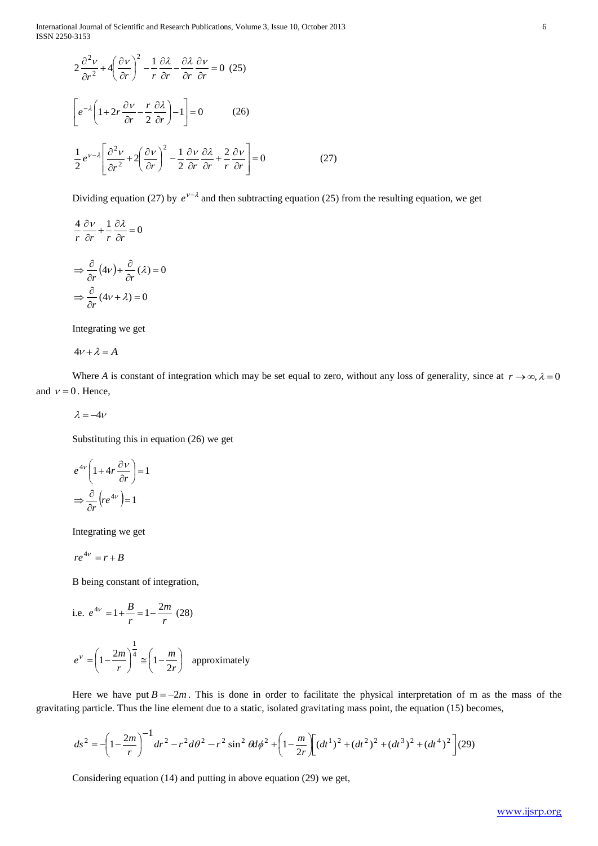International Journal of Scientific and Research Publications, Volume 3, Issue 10, October 2013 6 ISSN 2250-3153

$$
2 \frac{\partial^2 V}{\partial r^2} + 4 \left( \frac{\partial V}{\partial r} \right)^2 - \frac{1}{r} \frac{\partial \lambda}{\partial r} - \frac{\partial \lambda}{\partial r} \frac{\partial \nu}{\partial r} = 0 \quad (25)
$$
\n
$$
\left[ e^{-t} \left( 1 + 2r \frac{\partial V}{\partial r} - \frac{r}{2r} \frac{\partial \lambda}{\partial r} \right) - 1 \right] = 0 \qquad (26)
$$
\n
$$
\frac{1}{2} e^{-r/2} \left[ \frac{\partial^2 V}{\partial r^2} + 2 \left( \frac{\partial^2 V}{\partial r} \right)^2 - \frac{1}{2} \frac{\partial V}{\partial r} \frac{\partial \lambda}{\partial r} + \frac{2}{r} \frac{\partial V}{\partial r} \right] = 0 \qquad (27)
$$
\nDividing equation (27) by  $e^{V-\lambda}$  and then subtracting equation (25) from the resulting equation, we get\n
$$
\frac{d}{r} \frac{\partial V}{\partial r} + \frac{1}{r} \frac{\partial Z}{\partial r} = 0
$$
\n
$$
\Rightarrow \frac{\partial}{\partial r} (4v) + \frac{\partial}{\partial r} (2) = 0
$$
\n
$$
\Rightarrow \frac{\partial}{\partial r} (4v + \lambda) = 0
$$
\nIntegrating we get\n
$$
4V + \lambda = A
$$
\nWhere A is constant of integration which may be set equal to zero, without any loss of generality, since at  $r \to \infty, \lambda = 0$ .) Hence,\n
$$
\lambda = W + e^{-\lambda} \frac{\lambda}{r} \text{ where } \lambda = -4v
$$
\nSubstituting this in equation (26) we get\n
$$
e^{4v} \left[ 1 + 4r \frac{\partial V}{\partial r} \right] = 1
$$
\nIntegrating we get\n
$$
re^{4v} = r + B
$$
\nB being constant of integration,\ni.e.\n
$$
e^{4v} = 1 + \frac{B}{r} = 1 - \frac{2m}{r} \quad (28)
$$
\n
$$
e^{V} = \left( 1 - \frac{2m}{r} \right)^{-1} \approx \left( 1 - \frac{m}{2r} \right)^{-1} \text{ approximately}
$$
\nHere we have put  $B = -2m$ . This is done in order to facilitate the physical interpretation of m as the mass

Dividing equation (27) by  $e^{v-\lambda}$  and then subtracting equation (25) from the resulting equation, we get

$$
\frac{4}{r}\frac{\partial v}{\partial r} + \frac{1}{r}\frac{\partial \lambda}{\partial r} = 0
$$

$$
\Rightarrow \frac{\partial}{\partial r}(4v) + \frac{\partial}{\partial r}(\lambda) = 0
$$

$$
\Rightarrow \frac{\partial}{\partial r}(4v + \lambda) = 0
$$

Integrating we get

$$
4\nu+\lambda=A
$$

Where A is constant of integration which may be set equal to zero, without any loss of generality, since at  $r \to \infty$ ,  $\lambda = 0$ and  $v = 0$ . Hence,

$$
\lambda=-4\nu
$$

Substituting this in equation (26) we get

$$
e^{4\nu} \left( 1 + 4r \frac{\partial \nu}{\partial r} \right) = 1
$$

$$
\Rightarrow \frac{\partial}{\partial r} \left( r e^{4\nu} \right) = 1
$$

Integrating we get

$$
re^{4v}=r+B
$$

B being constant of integration,

i.e. 
$$
e^{4v} = 1 + \frac{B}{r} = 1 - \frac{2m}{r}
$$
 (28)  

$$
e^{v} = \left(1 - \frac{2m}{r}\right)^{\frac{1}{4}} \approx \left(1 - \frac{m}{2r}\right)
$$
 approximately

Here we have put  $B = -2m$ . This is done in order to facilitate the physical interpretation of m as the mass of the gravitating particle. Thus the line element due to a static, isolated gravitating mass point, the equation (15) becomes,

$$
ds^{2} = -\left(1 - \frac{2m}{r}\right)^{-1} dr^{2} - r^{2} d\theta^{2} - r^{2} \sin^{2} \theta d\phi^{2} + \left(1 - \frac{m}{2r}\right) \left[ (dt^{1})^{2} + (dt^{2})^{2} + (dt^{3})^{2} + (dt^{4})^{2} \right] (29)
$$

Considering equation (14) and putting in above equation (29) we get,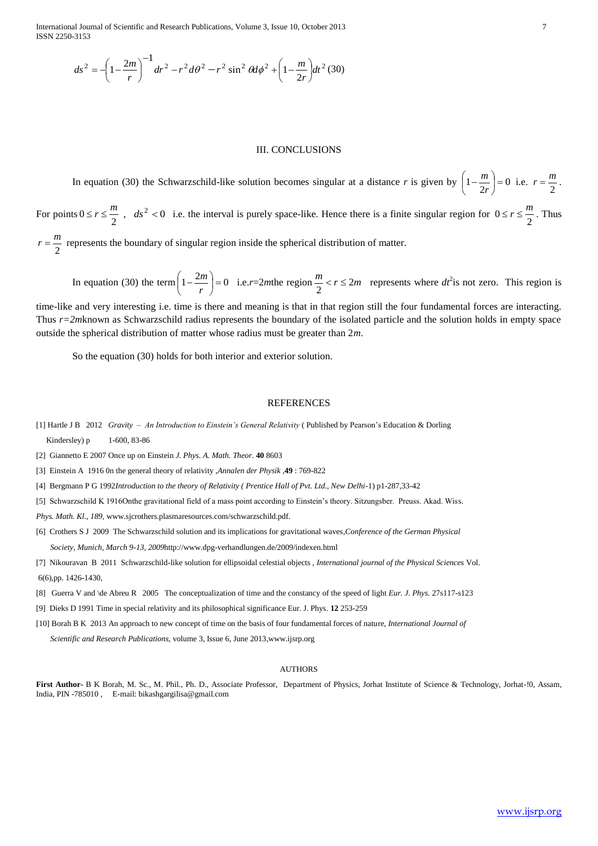International Journal of Scientific and Research Publications, Volume 3, Issue 10, October 2013 7 ISSN 2250-3153

$$
ds^{2} = -\left(1 - \frac{2m}{r}\right)^{-1} dr^{2} - r^{2} d\theta^{2} - r^{2} \sin^{2} \theta d\phi^{2} + \left(1 - \frac{m}{2r}\right) dt^{2} (30)
$$

## III. CONCLUSIONS

 $2 - \left(1 - \frac{2\pi}{r}\right)$   $dr^2 = r^2 \sin^2 2\theta^2 - r^2 \sin^2 2\theta^2 + \left(1 - \frac{2\pi}{2r}\right)dr^2$  (20)<br>
III. CONCLUSSIONS<br>
III. CONCLUSSIONS<br>
THE CONCLUSSIONS<br>
Equation (30) the Schematical Hale volume because singular at a distance r is given In equation (30) the Schwarzschild-like solution becomes singular at a distance *r* is given by  $\left(1 - \frac{m}{2r}\right) = 0$ J  $\left(1-\frac{m}{2}\right)$ l  $\left(1-\frac{m}{2r}\right)$  $\left(\frac{m}{2r}\right) = 0$  i.e.  $r = \frac{m}{2}$  $r = \frac{m}{2}$ . For points  $0 \le r \le \frac{m}{2}$ ,  $ds^2 < 0$  i.e. the interval is purely space-like. Hence there is a finite singular region for  $0 \le r \le \frac{m}{2}$ . Thus 2  $r = \frac{m}{r}$  represents the boundary of singular region inside the spherical distribution of matter.

In equation (30) the term  $\left(1 - \frac{2m}{m}\right) = 0$ J  $\left(1-\frac{2m}{m}\right)$ l  $\left(1-\frac{2r}{r}\right)$  $\left(\frac{m}{r}\right) = 0$  i.e.*r*=2*m*the region  $\frac{m}{2} < r \le 2m$  represents where *dt*<sup>2</sup> is not zero. This region is

time-like and very interesting i.e. time is there and meaning is that in that region still the four fundamental forces are interacting. Thus *r=2m*known as Schwarzschild radius represents the boundary of the isolated particle and the solution holds in empty space outside the spherical distribution of matter whose radius must be greater than 2*m*.

So the equation (30) holds for both interior and exterior solution.

#### **REFERENCES**

[1] Hartle J B 2012 *Gravity – An Introduction to Einstein's General Relativity* ( Published by Pearson's Education & Dorling Kindersley) p 1-600, 83-86

[2] Giannetto E 2007 Once up on Einstein *J. Phys. A. Math. Theor.* **40** 8603

[3] Einstein A 1916 0n the general theory of relativity ,*Annalen der Physik* ,**49** : 769-822

[4] Bergmann P G 1992*Introduction to the theory of Relativity ( Prentice Hall of Pvt. Ltd., New Delhi*-1) p1-287,33-42

[5] Schwarzschild K 1916Onthe gravitational field of a mass point according to Einstein's theory. Sitzungsber. Preuss. Akad. Wiss.

*Phys. Math. Kl., 189,* www.sjcrothers.plasmaresources.com/schwarzschild.pdf.

[6] Crothers S J 2009 The Schwarzschild solution and its implications for gravitational waves*,Conference of the German Physical Society, Munich, March 9-13, 2009*<http://www.dpg-verhandlungen.de/2009/indexen.html>

[7] Nikouravan B 2011 Schwarzschild-like solution for ellipsoidal celestial objects , *International journal of the Physical Sciences* Vol. 6(6),pp. 1426-1430,

[8] Guerra V and \de Abreu R 2005 The conceptualization of time and the constancy of the speed of light *Eur. J. Phys.* 27s117-s123

[9] Dieks D 1991 Time in special relativity and its philosophical significance Eur. J. Phys. **12** 253-259

[10] Borah B K 2013 An approach to new concept of time on the basis of four fundamental forces of nature, *International Journal of* 

 *Scientific and Research Publications,* volume 3, Issue 6, June 201[3,www.ijsrp.org](http://www.ijsrp.org/)

#### **AUTHORS**

**First Author-** B K Borah, M. Sc., M. Phil., Ph. D., Associate Professor, Department of Physics, Jorhat Institute of Science & Technology, Jorhat-!0, Assam, India, PIN -785010 , E-mail: bikashgargilisa@gmail.com